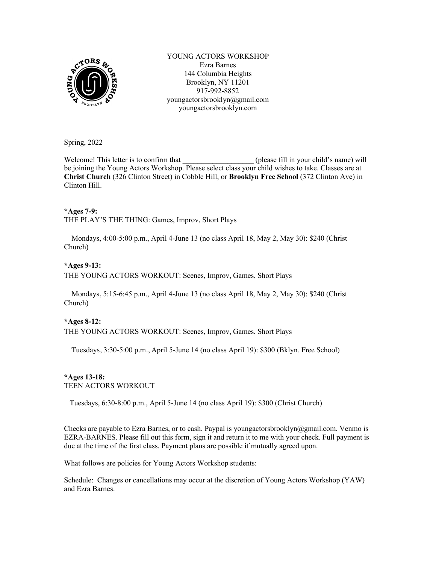

YOUNG ACTORS WORKSHOP Ezra Barnes 144 Columbia Heights Brooklyn, NY 11201 917-992-8852 youngactorsbrooklyn@gmail.com youngactorsbrooklyn.com

Spring, 2022

Welcome! This letter is to confirm that  $($  please fill in your child's name) willbe joining the Young Actors Workshop. Please select class your child wishes to take. Classes are at **Christ Church** (326 Clinton Street) in Cobble Hill, or **Brooklyn Free School** (372 Clinton Ave) in Clinton Hill.

## **\*Ages 7-9:**

THE PLAY'S THE THING: Games, Improv, Short Plays

 Mondays, 4:00-5:00 p.m., April 4-June 13 (no class April 18, May 2, May 30): \$240 (Christ Church)

## **\*Ages 9-13:**

THE YOUNG ACTORS WORKOUT: Scenes, Improv, Games, Short Plays

 Mondays, 5:15-6:45 p.m., April 4-June 13 (no class April 18, May 2, May 30): \$240 (Christ Church)

## **\*Ages 8-12:**

THE YOUNG ACTORS WORKOUT: Scenes, Improv, Games, Short Plays

Tuesdays, 3:30-5:00 p.m., April 5-June 14 (no class April 19): \$300 (Bklyn. Free School)

## **\*Ages 13-18:** TEEN ACTORS WORKOUT

Tuesdays, 6:30-8:00 p.m., April 5-June 14 (no class April 19): \$300 (Christ Church)

Checks are payable to Ezra Barnes, or to cash. Paypal is youngactorsbrooklyn@gmail.com. Venmo is EZRA-BARNES. Please fill out this form, sign it and return it to me with your check. Full payment is due at the time of the first class. Payment plans are possible if mutually agreed upon.

What follows are policies for Young Actors Workshop students:

Schedule: Changes or cancellations may occur at the discretion of Young Actors Workshop (YAW) and Ezra Barnes.